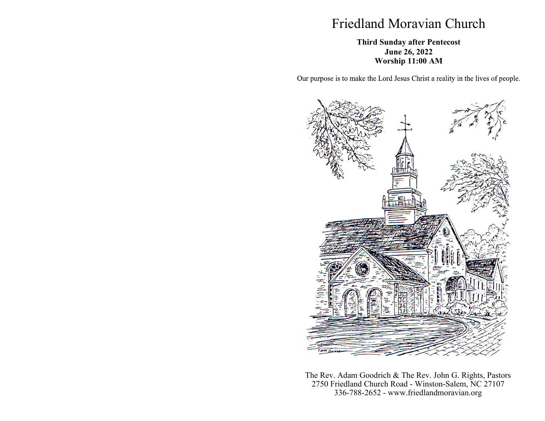## Friedland Moravian Church

## **Third Sunday after Pentecost June 26, 2022 Worship 11:00 AM**

Our purpose is to make the Lord Jesus Christ a reality in the lives of people.



The Rev. Adam Goodrich & The Rev. John G. Rights, Pastors 2750 Friedland Church Road - Winston-Salem, NC 27107 336-788-2652 - www.friedlandmoravian.org